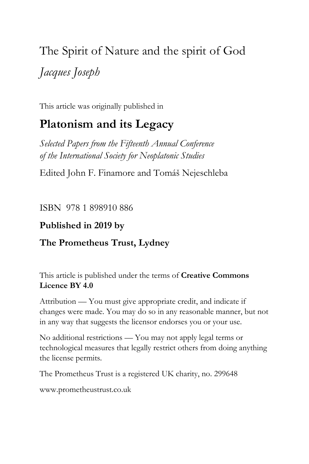# The Spirit of Nature and the spirit of God *Jacques Joseph*

This article was originally published in

## **Platonism and its Legacy**

*Selected Papers from the Fifteenth Annual Conference of the International Society for Neoplatonic Studies*

Edited John F. Finamore and Tomáš Nejeschleba

ISBN 978 1 898910 886

## **Published in 2019 by**

## **The Prometheus Trust, Lydney**

This article is published under the terms of **Creative Commons Licence BY 4.0**

Attribution — You must give appropriate credit, and indicate if changes were made. You may do so in any reasonable manner, but not in any way that suggests the licensor endorses you or your use.

No additional restrictions — You may not apply legal terms or technological measures that legally restrict others from doing anything the license permits.

The Prometheus Trust is a registered UK charity, no. 299648

[www.prometheustrust.co.uk](http://www.prometheustrust.co.uk/)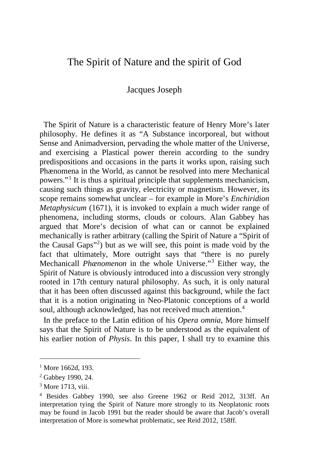## The Spirit of Nature and the spirit of God

#### Jacques Joseph

 The Spirit of Nature is a characteristic feature of Henry More's later philosophy. He defines it as "A Substance incorporeal, but without Sense and Animadversion, pervading the whole matter of the Universe, and exercising a Plastical power therein according to the sundry predispositions and occasions in the parts it works upon, raising such Phænomena in the World, as cannot be resolved into mere Mechanical powers."[1](#page-1-0) It is thus a spiritual principle that supplements mechanicism, causing such things as gravity, electricity or magnetism. However, its scope remains somewhat unclear – for example in More's *Enchiridion Metaphysicum* (1671), it is invoked to explain a much wider range of phenomena, including storms, clouds or colours. Alan Gabbey has argued that More's decision of what can or cannot be explained mechanically is rather arbitrary (calling the Spirit of Nature a "Spirit of the Causal Gaps"[2](#page-1-1) ) but as we will see, this point is made void by the fact that ultimately, More outright says that "there is no purely Mechanicall *Phænomenon* in the whole Universe."[3](#page-1-2) Either way, the Spirit of Nature is obviously introduced into a discussion very strongly rooted in 17th century natural philosophy. As such, it is only natural that it has been often discussed against this background, while the fact that it is a notion originating in Neo-Platonic conceptions of a world soul, although acknowledged, has not received much attention.<sup>[4](#page-1-3)</sup>

 In the preface to the Latin edition of his *Opera omnia*, More himself says that the Spirit of Nature is to be understood as the equivalent of his earlier notion of *Physis*. In this paper, I shall try to examine this

<span id="page-1-0"></span><sup>&</sup>lt;sup>1</sup> More 1662d, 193.

<span id="page-1-1"></span><sup>2</sup> Gabbey 1990, 24.

<span id="page-1-2"></span><sup>&</sup>lt;sup>3</sup> More 1713, viii.

<span id="page-1-3"></span><sup>4</sup> Besides Gabbey 1990, see also Greene 1962 or Reid 2012, 313ff. An interpretation tying the Spirit of Nature more strongly to its Neoplatonic roots may be found in Jacob 1991 but the reader should be aware that Jacob's overall interpretation of More is somewhat problematic, see Reid 2012, 158ff.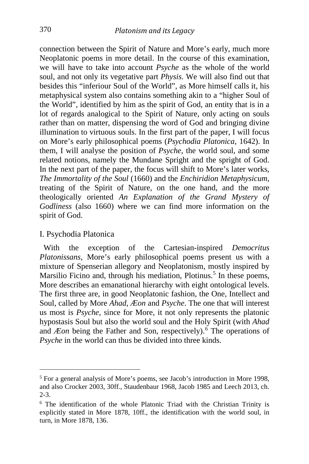connection between the Spirit of Nature and More's early, much more Neoplatonic poems in more detail. In the course of this examination, we will have to take into account *Psyche* as the whole of the world soul, and not only its vegetative part *Physis*. We will also find out that besides this "inferiour Soul of the World", as More himself calls it, his metaphysical system also contains something akin to a "higher Soul of the World", identified by him as the spirit of God, an entity that is in a lot of regards analogical to the Spirit of Nature, only acting on souls rather than on matter, dispensing the word of God and bringing divine illumination to virtuous souls. In the first part of the paper, I will focus on More's early philosophical poems (*Psychodia Platonica*, 1642). In them, I will analyse the position of *Psyche*, the world soul, and some related notions, namely the Mundane Spright and the spright of God. In the next part of the paper, the focus will shift to More's later works, *The Immortality of the Soul* (1660) and the *Enchiridion Metaphysicum*, treating of the Spirit of Nature, on the one hand, and the more theologically oriented *An Explanation of the Grand Mystery of Godliness* (also 1660) where we can find more information on the spirit of God.

#### I. Psychodia Platonica

i,

 With the exception of the Cartesian-inspired *Democritus Platonissans*, More's early philosophical poems present us with a mixture of Spenserian allegory and Neoplatonism, mostly inspired by Marsilio Ficino and, through his mediation, Plotinus.<sup>[5](#page-2-0)</sup> In these poems, More describes an emanational hierarchy with eight ontological levels. The first three are, in good Neoplatonic fashion, the One, Intellect and Soul, called by More *Ahad*, *Æon* and *Psyche*. The one that will interest us most is *Psyche*, since for More, it not only represents the platonic hypostasis Soul but also the world soul and the Holy Spirit (with *Ahad* and *Æon* being the Father and Son, respectively).<sup>[6](#page-2-1)</sup> The operations of *Psyche* in the world can thus be divided into three kinds.

<span id="page-2-0"></span><sup>&</sup>lt;sup>5</sup> For a general analysis of More's poems, see Jacob's introduction in More 1998, and also Crocker 2003, 30ff., Staudenbaur 1968, Jacob 1985 and Leech 2013, ch. 2-3.

<span id="page-2-1"></span><sup>6</sup> The identification of the whole Platonic Triad with the Christian Trinity is explicitly stated in More 1878, 10ff., the identification with the world soul, in turn, in More 1878, 136.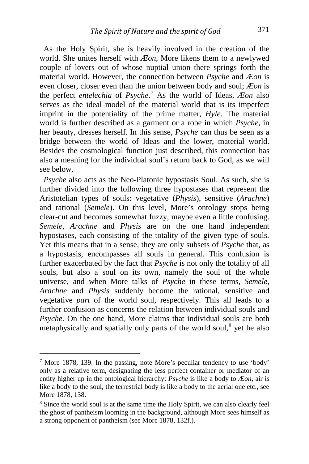As the Holy Spirit, she is heavily involved in the creation of the world. She unites herself with *Æon*, More likens them to a newlywed couple of lovers out of whose nuptial union there springs forth the material world. However, the connection between *Psyche* and *Æon* is even closer, closer even than the union between body and soul; *Æon* is the perfect *entelechia* of *Psyche*. [7](#page-3-0) As the world of Ideas, *Æon* also serves as the ideal model of the material world that is its imperfect imprint in the potentiality of the prime matter, *Hyle*. The material world is further described as a garment or a robe in which *Psyche*, in her beauty, dresses herself. In this sense, *Psyche* can thus be seen as a bridge between the world of Ideas and the lower, material world. Besides the cosmological function just described, this connection has also a meaning for the individual soul's return back to God, as we will see below.

 *Psyche* also acts as the Neo-Platonic hypostasis Soul. As such, she is further divided into the following three hypostases that represent the Aristotelian types of souls: vegetative (*Physis*), sensitive (*Arachne*) and rational (*Semele*). On this level, More's ontology stops being clear-cut and becomes somewhat fuzzy, maybe even a little confusing. *Semele*, *Arachne* and *Physis* are on the one hand independent hypostases, each consisting of the totality of the given type of souls. Yet this means that in a sense, they are only subsets of *Psyche* that, as a hypostasis, encompasses all souls in general. This confusion is further exacerbated by the fact that *Psyche* is not only the totality of all souls, but also a soul on its own, namely the soul of the whole universe, and when More talks of *Psyche* in these terms, *Semele*, *Arachne* and *Physis* suddenly become the rational, sensitive and vegetative *part* of the world soul, respectively. This all leads to a further confusion as concerns the relation between individual souls and *Psyche*. On the one hand, More claims that individual souls are both metaphysically and spatially only parts of the world soul, $^8$  $^8$  yet he also

<span id="page-3-0"></span><sup>7</sup> More 1878, 139. In the passing, note More's peculiar tendency to use 'body' only as a relative term, designating the less perfect container or mediator of an entity higher up in the ontological hierarchy: *Psyche* is like a body to *Æon*, air is like a body to the soul, the terrestrial body is like a body to the aerial one etc., see More 1878, 138.

<span id="page-3-1"></span><sup>8</sup> Since the world soul is at the same time the Holy Spirit, we can also clearly feel the ghost of pantheism looming in the background, although More sees himself as a strong opponent of pantheism (see More 1878, 132f.).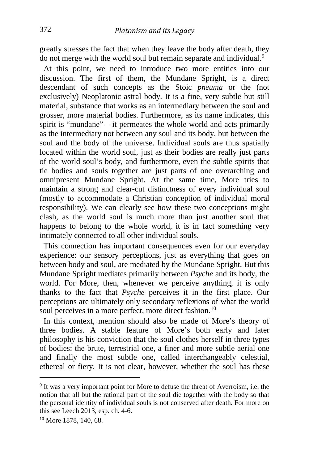greatly stresses the fact that when they leave the body after death, they do not merge with the world soul but remain separate and individual.<sup>[9](#page-4-0)</sup>

 At this point, we need to introduce two more entities into our discussion. The first of them, the Mundane Spright, is a direct descendant of such concepts as the Stoic *pneuma* or the (not exclusively) Neoplatonic astral body. It is a fine, very subtle but still material, substance that works as an intermediary between the soul and grosser, more material bodies. Furthermore, as its name indicates, this spirit is "mundane" – it permeates the whole world and acts primarily as the intermediary not between any soul and its body, but between the soul and the body of the universe. Individual souls are thus spatially located within the world soul, just as their bodies are really just parts of the world soul's body, and furthermore, even the subtle spirits that tie bodies and souls together are just parts of one overarching and omnipresent Mundane Spright. At the same time, More tries to maintain a strong and clear-cut distinctness of every individual soul (mostly to accommodate a Christian conception of individual moral responsibility). We can clearly see how these two conceptions might clash, as the world soul is much more than just another soul that happens to belong to the whole world, it is in fact something very intimately connected to all other individual souls.

 This connection has important consequences even for our everyday experience: our sensory perceptions, just as everything that goes on between body and soul, are mediated by the Mundane Spright. But this Mundane Spright mediates primarily between *Psyche* and its body, the world. For More, then, whenever we perceive anything, it is only thanks to the fact that *Psyche* perceives it in the first place. Our perceptions are ultimately only secondary reflexions of what the world soul perceives in a more perfect, more direct fashion.<sup>[10](#page-4-1)</sup>

 In this context, mention should also be made of More's theory of three bodies. A stable feature of More's both early and later philosophy is his conviction that the soul clothes herself in three types of bodies: the brute, terrestrial one, a finer and more subtle aerial one and finally the most subtle one, called interchangeably celestial, ethereal or fiery. It is not clear, however, whether the soul has these

<span id="page-4-0"></span><sup>9</sup> It was a very important point for More to defuse the threat of Averroism, i.e. the notion that all but the rational part of the soul die together with the body so that the personal identity of individual souls is not conserved after death. For more on this see Leech 2013, esp. ch. 4-6.

<span id="page-4-1"></span><sup>&</sup>lt;sup>10</sup> More 1878, 140, 68.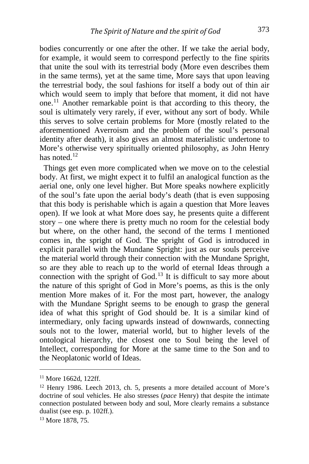bodies concurrently or one after the other. If we take the aerial body, for example, it would seem to correspond perfectly to the fine spirits that unite the soul with its terrestrial body (More even describes them in the same terms), yet at the same time, More says that upon leaving the terrestrial body, the soul fashions for itself a body out of thin air which would seem to imply that before that moment, it did not have one.[11](#page-5-0) Another remarkable point is that according to this theory, the soul is ultimately very rarely, if ever, without any sort of body. While this serves to solve certain problems for More (mostly related to the aforementioned Averroism and the problem of the soul's personal identity after death), it also gives an almost materialistic undertone to More's otherwise very spiritually oriented philosophy, as John Henry has noted $12$ 

 Things get even more complicated when we move on to the celestial body. At first, we might expect it to fulfil an analogical function as the aerial one, only one level higher. But More speaks nowhere explicitly of the soul's fate upon the aerial body's death (that is even supposing that this body is perishable which is again a question that More leaves open). If we look at what More does say, he presents quite a different story – one where there is pretty much no room for the celestial body but where, on the other hand, the second of the terms I mentioned comes in, the spright of God. The spright of God is introduced in explicit parallel with the Mundane Spright: just as our souls perceive the material world through their connection with the Mundane Spright, so are they able to reach up to the world of eternal Ideas through a connection with the spright of God.<sup>[13](#page-5-2)</sup> It is difficult to say more about the nature of this spright of God in More's poems, as this is the only mention More makes of it. For the most part, however, the analogy with the Mundane Spright seems to be enough to grasp the general idea of what this spright of God should be. It is a similar kind of intermediary, only facing upwards instead of downwards, connecting souls not to the lower, material world, but to higher levels of the ontological hierarchy, the closest one to Soul being the level of Intellect, corresponding for More at the same time to the Son and to the Neoplatonic world of Ideas.

<span id="page-5-0"></span><sup>11</sup> More 1662d, 122ff.

<span id="page-5-1"></span><sup>&</sup>lt;sup>12</sup> Henry 1986. Leech 2013, ch. 5, presents a more detailed account of More's doctrine of soul vehicles. He also stresses (*pace* Henry) that despite the intimate connection postulated between body and soul, More clearly remains a substance dualist (see esp. p. 102ff.).

<span id="page-5-2"></span><sup>13</sup> More 1878, 75.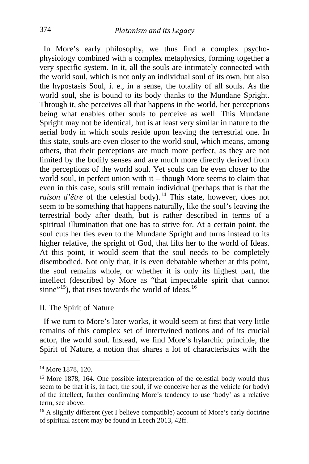In More's early philosophy, we thus find a complex psychophysiology combined with a complex metaphysics, forming together a very specific system. In it, all the souls are intimately connected with the world soul, which is not only an individual soul of its own, but also the hypostasis Soul, i. e., in a sense, the totality of all souls. As the world soul, she is bound to its body thanks to the Mundane Spright. Through it, she perceives all that happens in the world, her perceptions being what enables other souls to perceive as well. This Mundane Spright may not be identical, but is at least very similar in nature to the aerial body in which souls reside upon leaving the terrestrial one. In this state, souls are even closer to the world soul, which means, among others, that their perceptions are much more perfect, as they are not limited by the bodily senses and are much more directly derived from the perceptions of the world soul. Yet souls can be even closer to the world soul, in perfect union with it – though More seems to claim that even in this case, souls still remain individual (perhaps that is that the *raison d'être* of the celestial body).<sup>[14](#page-6-0)</sup> This state, however, does not seem to be something that happens naturally, like the soul's leaving the terrestrial body after death, but is rather described in terms of a spiritual illumination that one has to strive for. At a certain point, the soul cuts her ties even to the Mundane Spright and turns instead to its higher relative, the spright of God, that lifts her to the world of Ideas. At this point, it would seem that the soul needs to be completely disembodied. Not only that, it is even debatable whether at this point, the soul remains whole, or whether it is only its highest part, the intellect (described by More as "that impeccable spirit that cannot sinne"<sup>[15](#page-6-1)</sup>), that rises towards the world of Ideas.<sup>[16](#page-6-2)</sup>

#### II. The Spirit of Nature

 If we turn to More's later works, it would seem at first that very little remains of this complex set of intertwined notions and of its crucial actor, the world soul. Instead, we find More's hylarchic principle, the Spirit of Nature, a notion that shares a lot of characteristics with the

<span id="page-6-0"></span><sup>&</sup>lt;sup>14</sup> More 1878, 120.

<span id="page-6-1"></span><sup>&</sup>lt;sup>15</sup> More 1878, 164. One possible interpretation of the celestial body would thus seem to be that it is, in fact, the soul, if we conceive her as the vehicle (or body) of the intellect, further confirming More's tendency to use 'body' as a relative term, see above.

<span id="page-6-2"></span><sup>&</sup>lt;sup>16</sup> A slightly different (yet I believe compatible) account of More's early doctrine of spiritual ascent may be found in Leech 2013, 42ff.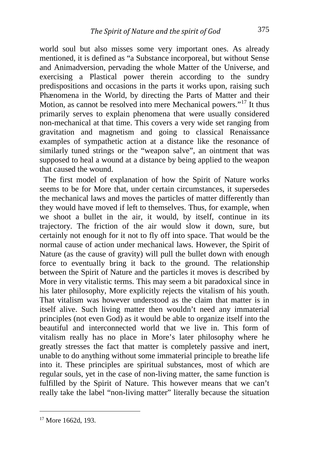world soul but also misses some very important ones. As already mentioned, it is defined as "a Substance incorporeal, but without Sense and Animadversion, pervading the whole Matter of the Universe, and exercising a Plastical power therein according to the sundry predispositions and occasions in the parts it works upon, raising such Phænomena in the World, by directing the Parts of Matter and their Motion, as cannot be resolved into mere Mechanical powers."[17](#page-7-0) It thus primarily serves to explain phenomena that were usually considered non-mechanical at that time. This covers a very wide set ranging from gravitation and magnetism and going to classical Renaissance examples of sympathetic action at a distance like the resonance of similarly tuned strings or the "weapon salve", an ointment that was supposed to heal a wound at a distance by being applied to the weapon that caused the wound.

 The first model of explanation of how the Spirit of Nature works seems to be for More that, under certain circumstances, it supersedes the mechanical laws and moves the particles of matter differently than they would have moved if left to themselves. Thus, for example, when we shoot a bullet in the air, it would, by itself, continue in its trajectory. The friction of the air would slow it down, sure, but certainly not enough for it not to fly off into space. That would be the normal cause of action under mechanical laws. However, the Spirit of Nature (as the cause of gravity) will pull the bullet down with enough force to eventually bring it back to the ground. The relationship between the Spirit of Nature and the particles it moves is described by More in very vitalistic terms. This may seem a bit paradoxical since in his later philosophy, More explicitly rejects the vitalism of his youth. That vitalism was however understood as the claim that matter is in itself alive. Such living matter then wouldn't need any immaterial principles (not even God) as it would be able to organize itself into the beautiful and interconnected world that we live in. This form of vitalism really has no place in More's later philosophy where he greatly stresses the fact that matter is completely passive and inert, unable to do anything without some immaterial principle to breathe life into it. These principles are spiritual substances, most of which are regular souls, yet in the case of non-living matter, the same function is fulfilled by the Spirit of Nature. This however means that we can't really take the label "non-living matter" literally because the situation

<span id="page-7-0"></span><sup>&</sup>lt;sup>17</sup> More 1662d, 193.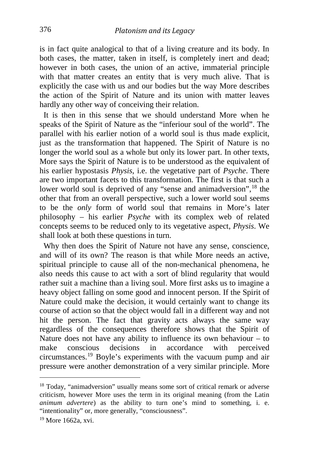is in fact quite analogical to that of a living creature and its body. In both cases, the matter, taken in itself, is completely inert and dead; however in both cases, the union of an active, immaterial principle with that matter creates an entity that is very much alive. That is explicitly the case with us and our bodies but the way More describes the action of the Spirit of Nature and its union with matter leaves hardly any other way of conceiving their relation.

 It is then in this sense that we should understand More when he speaks of the Spirit of Nature as the "inferiour soul of the world". The parallel with his earlier notion of a world soul is thus made explicit, just as the transformation that happened. The Spirit of Nature is no longer the world soul as a whole but only its lower part. In other texts, More says the Spirit of Nature is to be understood as the equivalent of his earlier hypostasis *Physis*, i.e. the vegetative part of *Psyche*. There are two important facets to this transformation. The first is that such a lower world soul is deprived of any "sense and animadversion",<sup>[18](#page-8-0)</sup> the other that from an overall perspective, such a lower world soul seems to be the *only* form of world soul that remains in More's later philosophy – his earlier *Psyche* with its complex web of related concepts seems to be reduced only to its vegetative aspect, *Physis*. We shall look at both these questions in turn.

 Why then does the Spirit of Nature not have any sense, conscience, and will of its own? The reason is that while More needs an active, spiritual principle to cause all of the non-mechanical phenomena, he also needs this cause to act with a sort of blind regularity that would rather suit a machine than a living soul. More first asks us to imagine a heavy object falling on some good and innocent person. If the Spirit of Nature could make the decision, it would certainly want to change its course of action so that the object would fall in a different way and not hit the person. The fact that gravity acts always the same way regardless of the consequences therefore shows that the Spirit of Nature does not have any ability to influence its own behaviour – to make conscious decisions in accordance with perceived circumstances.[19](#page-8-1) Boyle's experiments with the vacuum pump and air pressure were another demonstration of a very similar principle. More

<span id="page-8-0"></span><sup>&</sup>lt;sup>18</sup> Today, "animadversion" usually means some sort of critical remark or adverse criticism, however More uses the term in its original meaning (from the Latin *animum advertere*) as the ability to turn one's mind to something, i. e. "intentionality" or, more generally, "consciousness".

<span id="page-8-1"></span><sup>19</sup> More 1662a, xvi.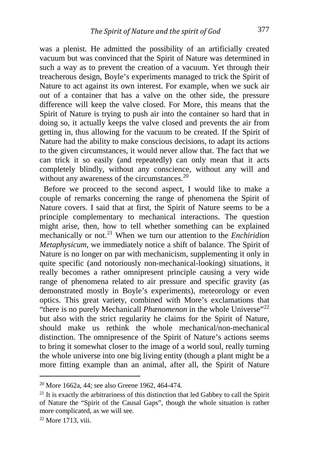was a plenist. He admitted the possibility of an artificially created vacuum but was convinced that the Spirit of Nature was determined in such a way as to prevent the creation of a vacuum. Yet through their treacherous design, Boyle's experiments managed to trick the Spirit of Nature to act against its own interest. For example, when we suck air out of a container that has a valve on the other side, the pressure difference will keep the valve closed. For More, this means that the Spirit of Nature is trying to push air into the container so hard that in doing so, it actually keeps the valve closed and prevents the air from getting in, thus allowing for the vacuum to be created. If the Spirit of Nature had the ability to make conscious decisions, to adapt its actions to the given circumstances, it would never allow that. The fact that we can trick it so easily (and repeatedly) can only mean that it acts completely blindly, without any conscience, without any will and without any awareness of the circumstances.<sup>[20](#page-9-0)</sup>

 Before we proceed to the second aspect, I would like to make a couple of remarks concerning the range of phenomena the Spirit of Nature covers. I said that at first, the Spirit of Nature seems to be a principle complementary to mechanical interactions. The question might arise, then, how to tell whether something can be explained mechanically or not.<sup>[21](#page-9-1)</sup> When we turn our attention to the *Enchiridion Metaphysicum*, we immediately notice a shift of balance. The Spirit of Nature is no longer on par with mechanicism, supplementing it only in quite specific (and notoriously non-mechanical-looking) situations, it really becomes a rather omnipresent principle causing a very wide range of phenomena related to air pressure and specific gravity (as demonstrated mostly in Boyle's experiments), meteorology or even optics. This great variety, combined with More's exclamations that "there is no purely Mechanicall *Phænomenon* in the whole Universe"<sup>[22](#page-9-2)</sup> but also with the strict regularity he claims for the Spirit of Nature, should make us rethink the whole mechanical/non-mechanical distinction. The omnipresence of the Spirit of Nature's actions seems to bring it somewhat closer to the image of a world soul, really turning the whole universe into one big living entity (though a plant might be a more fitting example than an animal, after all, the Spirit of Nature

i, <sup>20</sup> More 1662a, 44; see also Greene 1962, 464-474.

<span id="page-9-1"></span><span id="page-9-0"></span> $21$  It is exactly the arbitrariness of this distinction that led Gabbey to call the Spirit of Nature the "Spirit of the Causal Gaps", though the whole situation is rather more complicated, as we will see.

<span id="page-9-2"></span><sup>22</sup> More 1713, viii.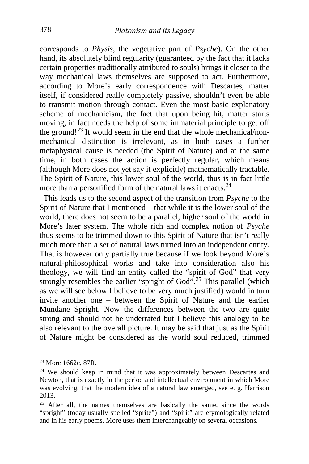corresponds to *Physis*, the vegetative part of *Psyche*). On the other hand, its absolutely blind regularity (guaranteed by the fact that it lacks certain properties traditionally attributed to souls) brings it closer to the way mechanical laws themselves are supposed to act. Furthermore, according to More's early correspondence with Descartes, matter itself, if considered really completely passive, shouldn't even be able to transmit motion through contact. Even the most basic explanatory scheme of mechanicism, the fact that upon being hit, matter starts moving, in fact needs the help of some immaterial principle to get off the ground!<sup>[23](#page-10-0)</sup> It would seem in the end that the whole mechanical/nonmechanical distinction is irrelevant, as in both cases a further metaphysical cause is needed (the Spirit of Nature) and at the same time, in both cases the action is perfectly regular, which means (although More does not yet say it explicitly) mathematically tractable. The Spirit of Nature, this lower soul of the world, thus is in fact little more than a personified form of the natural laws it enacts.<sup>[24](#page-10-1)</sup>

 This leads us to the second aspect of the transition from *Psyche* to the Spirit of Nature that I mentioned – that while it is the lower soul of the world, there does not seem to be a parallel, higher soul of the world in More's later system. The whole rich and complex notion of *Psyche* thus seems to be trimmed down to this Spirit of Nature that isn't really much more than a set of natural laws turned into an independent entity. That is however only partially true because if we look beyond More's natural-philosophical works and take into consideration also his theology, we will find an entity called the "spirit of God" that very strongly resembles the earlier "spright of God".<sup>[25](#page-10-2)</sup> This parallel (which as we will see below I believe to be very much justified) would in turn invite another one – between the Spirit of Nature and the earlier Mundane Spright. Now the differences between the two are quite strong and should not be underrated but I believe this analogy to be also relevant to the overall picture. It may be said that just as the Spirit of Nature might be considered as the world soul reduced, trimmed

<span id="page-10-0"></span><sup>23</sup> More 1662c, 87ff.

<span id="page-10-1"></span><sup>&</sup>lt;sup>24</sup> We should keep in mind that it was approximately between Descartes and Newton, that is exactly in the period and intellectual environment in which More was evolving, that the modern idea of a natural law emerged, see e. g. Harrison 2013.

<span id="page-10-2"></span> $25$  After all, the names themselves are basically the same, since the words "spright" (today usually spelled "sprite") and "spirit" are etymologically related and in his early poems, More uses them interchangeably on several occasions.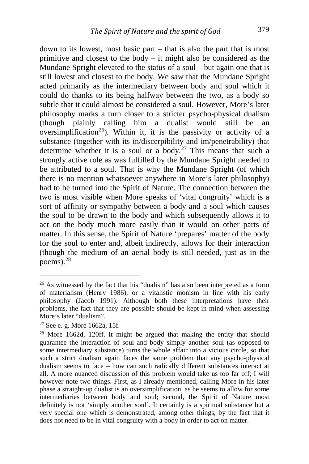down to its lowest, most basic part – that is also the part that is most primitive and closest to the body – it might also be considered as the Mundane Spright elevated to the status of a soul – but again one that is still lowest and closest to the body. We saw that the Mundane Spright acted primarily as the intermediary between body and soul which it could do thanks to its being halfway between the two, as a body so subtle that it could almost be considered a soul. However, More's later philosophy marks a turn closer to a stricter psycho-physical dualism (though plainly calling him a dualist would still be an oversimplification<sup>[26](#page-11-0)</sup>). Within it, it is the passivity or activity of a substance (together with its in/discerpibility and im/penetrability) that determine whether it is a soul or a body.<sup>[27](#page-11-1)</sup> This means that such a strongly active role as was fulfilled by the Mundane Spright needed to be attributed to a soul. That is why the Mundane Spright (of which there is no mention whatsoever anywhere in More's later philosophy) had to be turned into the Spirit of Nature. The connection between the two is most visible when More speaks of 'vital congruity' which is a sort of affinity or sympathy between a body and a soul which causes the soul to be drawn to the body and which subsequently allows it to act on the body much more easily than it would on other parts of matter. In this sense, the Spirit of Nature 'prepares' matter of the body for the soul to enter and, albeit indirectly, allows for their interaction (though the medium of an aerial body is still needed, just as in the poems). $28$ 

<span id="page-11-0"></span> $26$  As witnessed by the fact that his "dualism" has also been interpreted as a form of materialism (Henry 1986), or a vitalistic monism in line with his early philosophy (Jacob 1991). Although both these interpretations have their problems, the fact that they are possible should be kept in mind when assessing More's later "dualism".

<span id="page-11-1"></span><sup>27</sup> See e. g. More 1662a, 15f.

<span id="page-11-2"></span><sup>&</sup>lt;sup>28</sup> More 1662d, 120ff. It might be argued that making the entity that should guarantee the interaction of soul and body simply another soul (as opposed to some intermediary substance) turns the whole affair into a vicious circle, so that such a strict dualism again faces the same problem that any psycho-physical dualism seems to face – how can such radically different substances interact at all. A more nuanced discussion of this problem would take us too far off; I will however note two things. First, as I already mentioned, calling More in his later phase a straight-up dualist is an oversimplification, as he seems to allow for some intermediaries between body and soul; second, the Spirit of Nature most definitely is not 'simply another soul'. It certainly is a spiritual substance but a very special one which is demonstrated, among other things, by the fact that it does not need to be in vital congruity with a body in order to act on matter.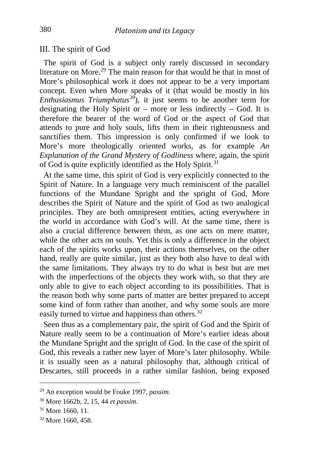#### III. The spirit of God

 The spirit of God is a subject only rarely discussed in secondary literature on More.<sup>[29](#page-12-0)</sup> The main reason for that would be that in most of More's philosophical work it does not appear to be a very important concept. Even when More speaks of it (that would be mostly in his *Enthusiasmus Triumphatus[30](#page-12-1)*), it just seems to be another term for designating the Holy Spirit or – more or less indirectly – God. It is therefore the bearer of the word of God or the aspect of God that attends to pure and holy souls, lifts them in their righteousness and sanctifies them. This impression is only confirmed if we look to More's more theologically oriented works, as for example *An Explanation of the Grand Mystery of Godliness* where, again, the spirit of God is quite explicitly identified as the Holy Spirit.<sup>[31](#page-12-2)</sup>

 At the same time, this spirit of God is very explicitly connected to the Spirit of Nature. In a language very much reminiscent of the parallel functions of the Mundane Spright and the spright of God, More describes the Spirit of Nature and the spirit of God as two analogical principles. They are both omnipresent entities, acting everywhere in the world in accordance with God's will. At the same time, there is also a crucial difference between them, as one acts on mere matter, while the other acts on souls. Yet this is only a difference in the object each of the spirits works upon, their actions themselves, on the other hand, really are quite similar, just as they both also have to deal with the same limitations. They always try to do what is best but are met with the imperfections of the objects they work with, so that they are only able to give to each object according to its possibilities. That is the reason both why some parts of matter are better prepared to accept some kind of form rather than another, and why some souls are more easily turned to virtue and happiness than others.<sup>[32](#page-12-3)</sup>

 Seen thus as a complementary pair, the spirit of God and the Spirit of Nature really seem to be a continuation of More's earlier ideas about the Mundane Spright and the spright of God. In the case of the spirit of God, this reveals a rather new layer of More's later philosophy. While it is usually seen as a natural philosophy that, although critical of Descartes, still proceeds in a rather similar fashion, being exposed

<span id="page-12-0"></span><sup>29</sup> An exception would be Fouke 1997, *passim*.

<span id="page-12-1"></span><sup>30</sup> More 1662b, 2, 15, 44 *et passim*.

<span id="page-12-2"></span><sup>31</sup> More 1660, 11.

<span id="page-12-3"></span><sup>32</sup> More 1660, 458.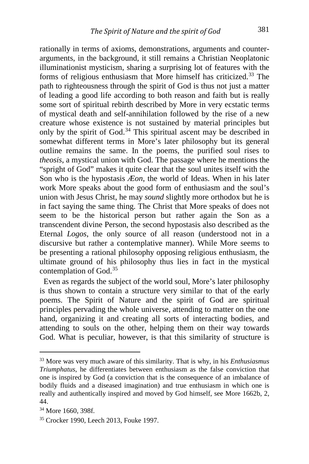rationally in terms of axioms, demonstrations, arguments and counterarguments, in the background, it still remains a Christian Neoplatonic illuminationist mysticism, sharing a surprising lot of features with the forms of religious enthusiasm that More himself has criticized.[33](#page-13-0) The path to righteousness through the spirit of God is thus not just a matter of leading a good life according to both reason and faith but is really some sort of spiritual rebirth described by More in very ecstatic terms of mystical death and self-annihilation followed by the rise of a new creature whose existence is not sustained by material principles but only by the spirit of God. $34$  This spiritual ascent may be described in somewhat different terms in More's later philosophy but its general outline remains the same. In the poems, the purified soul rises to *theosis*, a mystical union with God. The passage where he mentions the "spright of God" makes it quite clear that the soul unites itself with the Son who is the hypostasis *Æon*, the world of Ideas. When in his later work More speaks about the good form of enthusiasm and the soul's union with Jesus Christ, he may *sound* slightly more orthodox but he is in fact saying the same thing. The Christ that More speaks of does not seem to be the historical person but rather again the Son as a transcendent divine Person, the second hypostasis also described as the Eternal *Logos*, the only source of all reason (understood not in a discursive but rather a contemplative manner). While More seems to be presenting a rational philosophy opposing religious enthusiasm, the ultimate ground of his philosophy thus lies in fact in the mystical contemplation of God.[35](#page-13-2)

 Even as regards the subject of the world soul, More's later philosophy is thus shown to contain a structure very similar to that of the early poems. The Spirit of Nature and the spirit of God are spiritual principles pervading the whole universe, attending to matter on the one hand, organizing it and creating all sorts of interacting bodies, and attending to souls on the other, helping them on their way towards God. What is peculiar, however, is that this similarity of structure is

<span id="page-13-0"></span><sup>33</sup> More was very much aware of this similarity. That is why, in his *Enthusiasmus Triumphatus*, he differentiates between enthusiasm as the false conviction that one is inspired by God (a conviction that is the consequence of an imbalance of bodily fluids and a diseased imagination) and true enthusiasm in which one is really and authentically inspired and moved by God himself, see More 1662b, 2, 44.

<span id="page-13-1"></span><sup>34</sup> More 1660, 398f.

<span id="page-13-2"></span><sup>35</sup> Crocker 1990, Leech 2013, Fouke 1997.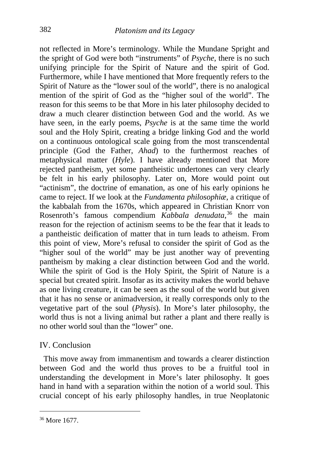not reflected in More's terminology. While the Mundane Spright and the spright of God were both "instruments" of *Psyche*, there is no such unifying principle for the Spirit of Nature and the spirit of God. Furthermore, while I have mentioned that More frequently refers to the Spirit of Nature as the "lower soul of the world", there is no analogical mention of the spirit of God as the "higher soul of the world". The reason for this seems to be that More in his later philosophy decided to draw a much clearer distinction between God and the world. As we have seen, in the early poems, *Psyche* is at the same time the world soul and the Holy Spirit, creating a bridge linking God and the world on a continuous ontological scale going from the most transcendental principle (God the Father, *Ahad*) to the furthermost reaches of metaphysical matter (*Hyle*). I have already mentioned that More rejected pantheism, yet some pantheistic undertones can very clearly be felt in his early philosophy. Later on, More would point out "actinism", the doctrine of emanation, as one of his early opinions he came to reject. If we look at the *Fundamenta philosophiæ*, a critique of the kabbalah from the 1670s, which appeared in Christian Knorr von Rosenroth's famous compendium *Kabbala denudata*, [36](#page-14-0) the main reason for the rejection of actinism seems to be the fear that it leads to a pantheistic deification of matter that in turn leads to atheism. From this point of view, More's refusal to consider the spirit of God as the "higher soul of the world" may be just another way of preventing pantheism by making a clear distinction between God and the world. While the spirit of God is the Holy Spirit, the Spirit of Nature is a special but created spirit. Insofar as its activity makes the world behave as one living creature, it can be seen as the soul of the world but given that it has no sense or animadversion, it really corresponds only to the vegetative part of the soul (*Physis*). In More's later philosophy, the world thus is not a living animal but rather a plant and there really is no other world soul than the "lower" one.

#### IV. Conclusion

 This move away from immanentism and towards a clearer distinction between God and the world thus proves to be a fruitful tool in understanding the development in More's later philosophy. It goes hand in hand with a separation within the notion of a world soul. This crucial concept of his early philosophy handles, in true Neoplatonic

<span id="page-14-0"></span><sup>36</sup> More 1677.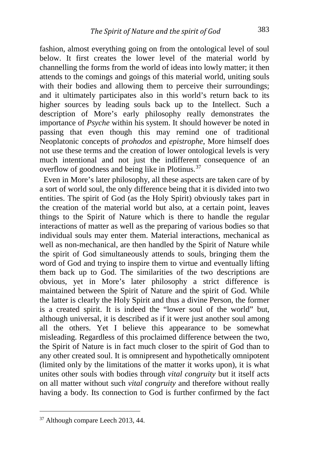fashion, almost everything going on from the ontological level of soul below. It first creates the lower level of the material world by channelling the forms from the world of ideas into lowly matter; it then attends to the comings and goings of this material world, uniting souls with their bodies and allowing them to perceive their surroundings; and it ultimately participates also in this world's return back to its higher sources by leading souls back up to the Intellect. Such a description of More's early philosophy really demonstrates the importance of *Psyche* within his system. It should however be noted in passing that even though this may remind one of traditional Neoplatonic concepts of *prohodos* and *epistrophe*, More himself does not use these terms and the creation of lower ontological levels is very much intentional and not just the indifferent consequence of an overflow of goodness and being like in Plotinus.<sup>[37](#page-15-0)</sup>

 Even in More's later philosophy, all these aspects are taken care of by a sort of world soul, the only difference being that it is divided into two entities. The spirit of God (as the Holy Spirit) obviously takes part in the creation of the material world but also, at a certain point, leaves things to the Spirit of Nature which is there to handle the regular interactions of matter as well as the preparing of various bodies so that individual souls may enter them. Material interactions, mechanical as well as non-mechanical, are then handled by the Spirit of Nature while the spirit of God simultaneously attends to souls, bringing them the word of God and trying to inspire them to virtue and eventually lifting them back up to God. The similarities of the two descriptions are obvious, yet in More's later philosophy a strict difference is maintained between the Spirit of Nature and the spirit of God. While the latter is clearly the Holy Spirit and thus a divine Person, the former is a created spirit. It is indeed the "lower soul of the world" but, although universal, it is described as if it were just another soul among all the others. Yet I believe this appearance to be somewhat misleading. Regardless of this proclaimed difference between the two, the Spirit of Nature is in fact much closer to the spirit of God than to any other created soul. It is omnipresent and hypothetically omnipotent (limited only by the limitations of the matter it works upon), it is what unites other souls with bodies through *vital congruity* but it itself acts on all matter without such *vital congruity* and therefore without really having a body. Its connection to God is further confirmed by the fact

<span id="page-15-0"></span><sup>37</sup> Although compare Leech 2013, 44.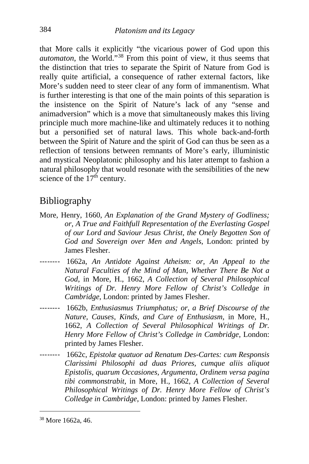that More calls it explicitly "the vicarious power of God upon this *automaton*, the World."<sup>[38](#page-16-0)</sup> From this point of view, it thus seems that the distinction that tries to separate the Spirit of Nature from God is really quite artificial, a consequence of rather external factors, like More's sudden need to steer clear of any form of immanentism. What is further interesting is that one of the main points of this separation is the insistence on the Spirit of Nature's lack of any "sense and animadversion" which is a move that simultaneously makes this living principle much more machine-like and ultimately reduces it to nothing but a personified set of natural laws. This whole back-and-forth between the Spirit of Nature and the spirit of God can thus be seen as a reflection of tensions between remnants of More's early, illuministic and mystical Neoplatonic philosophy and his later attempt to fashion a natural philosophy that would resonate with the sensibilities of the new science of the  $17<sup>th</sup>$  century.

### Bibliography

- More, Henry, 1660, *An Explanation of the Grand Mystery of Godliness; or, A True and Faithfull Representation of the Everlasting Gospel of our Lord and Saviour Jesus Christ, the Onely Begotten Son of God and Sovereign over Men and Angels*, London: printed by James Flesher.
- -------- 1662a, *An Antidote Against Atheism: or, An Appeal to the Natural Faculties of the Mind of Man, Whether There Be Not a God*, in More, H., 1662, *A Collection of Several Philosophical Writings of Dr. Henry More Fellow of Christ's Colledge in Cambridge*, London: printed by James Flesher.
- -------- 1662b, *Enthusiasmus Triumphatus; or, a Brief Discourse of the Nature, Causes, Kinds, and Cure of Enthusiasm*, in More, H., 1662, *A Collection of Several Philosophical Writings of Dr. Henry More Fellow of Christ's Colledge in Cambridge*, London: printed by James Flesher.
- -------- 1662c, *Epistolæ quatuor ad Renatum Des-Cartes: cum Responsis Clarissimi Philosophi ad duas Priores, cumque aliis aliquot Epistolis, quarum Occasiones, Argumenta, Ordinem versa pagina tibi commonstrabit*, in More, H., 1662, *A Collection of Several Philosophical Writings of Dr. Henry More Fellow of Christ's Colledge in Cambridge*, London: printed by James Flesher.

<span id="page-16-0"></span><sup>38</sup> More 1662a, 46.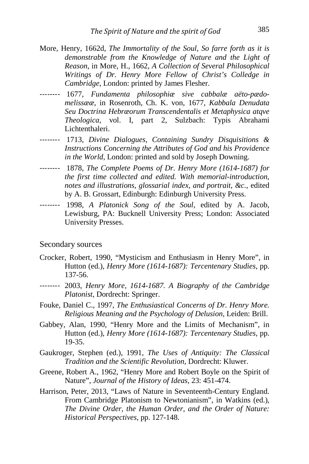- More, Henry, 1662d, *The Immortality of the Soul, So farre forth as it is demonstrable from the Knowledge of Nature and the Light of Reason*, in More, H., 1662, *A Collection of Several Philosophical Writings of Dr. Henry More Fellow of Christ's Colledge in Cambridge*, London: printed by James Flesher.
- -------- 1677, *Fundamenta philosophiæ sive cabbalæ aëto-pædomelissææ*, in Rosenroth, Ch. K. von, 1677, *Kabbala Denudata Seu Doctrina Hebræorum Transcendentalis et Metaphysica atqve Theologica*, vol. I, part 2, Sulzbach: Typis Abrahami Lichtenthaleri.
- -------- 1713, *Divine Dialogues, Containing Sundry Disquisitions & Instructions Concerning the Attributes of God and his Providence in the World*, London: printed and sold by Joseph Downing.
- -------- 1878, *The Complete Poems of Dr. Henry More (1614-1687) for the first time collected and edited. With memorial-introduction, notes and illustrations, glossarial index, and portrait, &c.*, edited by A. B. Grossart, Edinburgh: Edinburgh University Press.
- -------- 1998, *A Platonick Song of the Soul*, edited by A. Jacob, Lewisburg, PA: Bucknell University Press; London: Associated University Presses.

#### Secondary sources

- Crocker, Robert, 1990, "Mysticism and Enthusiasm in Henry More", in Hutton (ed.), *Henry More (1614-1687): Tercentenary Studies*, pp. 137-56.
- -------- 2003, *Henry More, 1614-1687. A Biography of the Cambridge Platonist*, Dordrecht: Springer.
- Fouke, Daniel C., 1997, *The Enthusiastical Concerns of Dr. Henry More. Religious Meaning and the Psychology of Delusion*, Leiden: Brill.
- Gabbey, Alan, 1990, "Henry More and the Limits of Mechanism", in Hutton (ed.), *Henry More (1614-1687): Tercentenary Studies*, pp. 19-35.
- Gaukroger, Stephen (ed.), 1991, *The Uses of Antiquity: The Classical Tradition and the Scientific Revolution*, Dordrecht: Kluwer.
- Greene, Robert A., 1962, "Henry More and Robert Boyle on the Spirit of Nature", *Journal of the History of Ideas*, 23: 451-474.
- Harrison, Peter, 2013, "Laws of Nature in Seventeenth-Century England. From Cambridge Platonism to Newtonianism", in Watkins (ed.), *The Divine Order, the Human Order, and the Order of Nature: Historical Perspectives*, pp. 127-148.